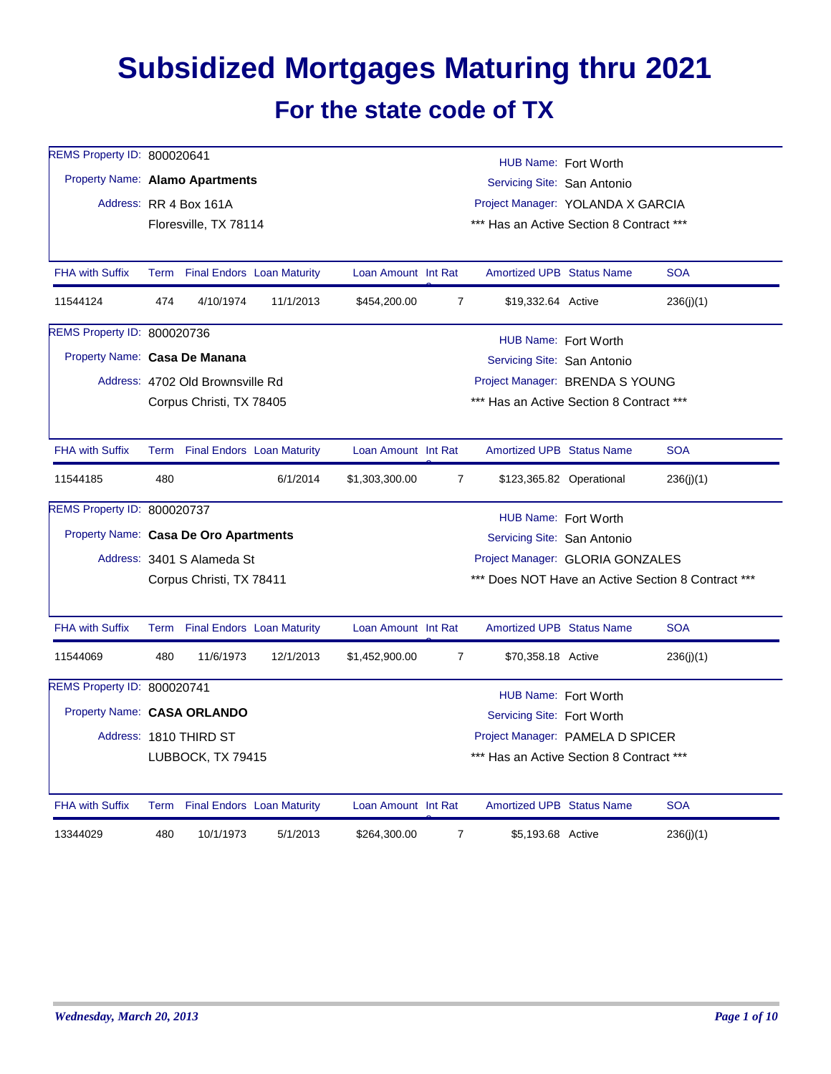## **Subsidized Mortgages Maturing thru 2021 For the state code of TX**

| REMS Property ID: 800020641           |             |                                  |                                   |                                                    |                | HUB Name: Fort Worth                     |                          |            |  |  |  |  |
|---------------------------------------|-------------|----------------------------------|-----------------------------------|----------------------------------------------------|----------------|------------------------------------------|--------------------------|------------|--|--|--|--|
| Property Name: Alamo Apartments       |             |                                  |                                   |                                                    |                | Servicing Site: San Antonio              |                          |            |  |  |  |  |
|                                       |             | Address: RR 4 Box 161A           |                                   |                                                    |                | Project Manager: YOLANDA X GARCIA        |                          |            |  |  |  |  |
|                                       |             | Floresville, TX 78114            |                                   |                                                    |                | *** Has an Active Section 8 Contract *** |                          |            |  |  |  |  |
|                                       |             |                                  |                                   |                                                    |                |                                          |                          |            |  |  |  |  |
| <b>FHA with Suffix</b>                |             | Term Final Endors Loan Maturity  |                                   | Loan Amount Int Rat                                |                | <b>Amortized UPB Status Name</b>         |                          | <b>SOA</b> |  |  |  |  |
| 11544124                              | 474         | 4/10/1974                        | 11/1/2013                         | \$454,200.00                                       | $\overline{7}$ | \$19,332.64 Active                       |                          | 236(j)(1)  |  |  |  |  |
| REMS Property ID: 800020736           |             | HUB Name: Fort Worth             |                                   |                                                    |                |                                          |                          |            |  |  |  |  |
| Property Name: Casa De Manana         |             |                                  |                                   |                                                    |                | Servicing Site: San Antonio              |                          |            |  |  |  |  |
|                                       |             | Address: 4702 Old Brownsville Rd |                                   |                                                    |                | Project Manager: BRENDA S YOUNG          |                          |            |  |  |  |  |
|                                       |             | Corpus Christi, TX 78405         |                                   |                                                    |                | *** Has an Active Section 8 Contract *** |                          |            |  |  |  |  |
|                                       |             |                                  |                                   |                                                    |                |                                          |                          |            |  |  |  |  |
| <b>FHA with Suffix</b>                | <b>Term</b> |                                  | <b>Final Endors</b> Loan Maturity | Loan Amount Int Rat                                |                | <b>Amortized UPB Status Name</b>         |                          | <b>SOA</b> |  |  |  |  |
| 11544185                              | 480         |                                  | 6/1/2014                          | \$1,303,300.00                                     | $\overline{7}$ |                                          | \$123,365.82 Operational | 236(j)(1)  |  |  |  |  |
| REMS Property ID: 800020737           |             | HUB Name: Fort Worth             |                                   |                                                    |                |                                          |                          |            |  |  |  |  |
| Property Name: Casa De Oro Apartments |             |                                  |                                   |                                                    |                | Servicing Site: San Antonio              |                          |            |  |  |  |  |
|                                       |             | Address: 3401 S Alameda St       |                                   | Project Manager: GLORIA GONZALES                   |                |                                          |                          |            |  |  |  |  |
|                                       |             | Corpus Christi, TX 78411         |                                   | *** Does NOT Have an Active Section 8 Contract *** |                |                                          |                          |            |  |  |  |  |
|                                       |             |                                  |                                   |                                                    |                |                                          |                          |            |  |  |  |  |
| <b>FHA with Suffix</b>                |             | Term Final Endors Loan Maturity  |                                   | Loan Amount Int Rat                                |                | <b>Amortized UPB Status Name</b>         |                          | <b>SOA</b> |  |  |  |  |
| 11544069                              | 480         | 11/6/1973                        | 12/1/2013                         | \$1,452,900.00                                     | $\overline{7}$ | \$70,358.18 Active                       |                          | 236(i)(1)  |  |  |  |  |
| REMS Property ID: 800020741           |             |                                  |                                   |                                                    |                | HUB Name: Fort Worth                     |                          |            |  |  |  |  |
| Property Name: CASA ORLANDO           |             |                                  |                                   |                                                    |                | Servicing Site: Fort Worth               |                          |            |  |  |  |  |
|                                       |             | Address: 1810 THIRD ST           |                                   |                                                    |                | Project Manager: PAMELA D SPICER         |                          |            |  |  |  |  |
|                                       |             | LUBBOCK, TX 79415                |                                   |                                                    |                | *** Has an Active Section 8 Contract *** |                          |            |  |  |  |  |
|                                       |             |                                  |                                   |                                                    |                |                                          |                          |            |  |  |  |  |
| <b>FHA with Suffix</b>                |             | Term Final Endors Loan Maturity  |                                   | Loan Amount Int Rat                                |                | <b>Amortized UPB Status Name</b>         |                          | <b>SOA</b> |  |  |  |  |
| 13344029                              | 480         | 10/1/1973                        | 5/1/2013                          | \$264,300.00                                       | $\overline{7}$ | \$5,193.68 Active                        |                          | 236(j)(1)  |  |  |  |  |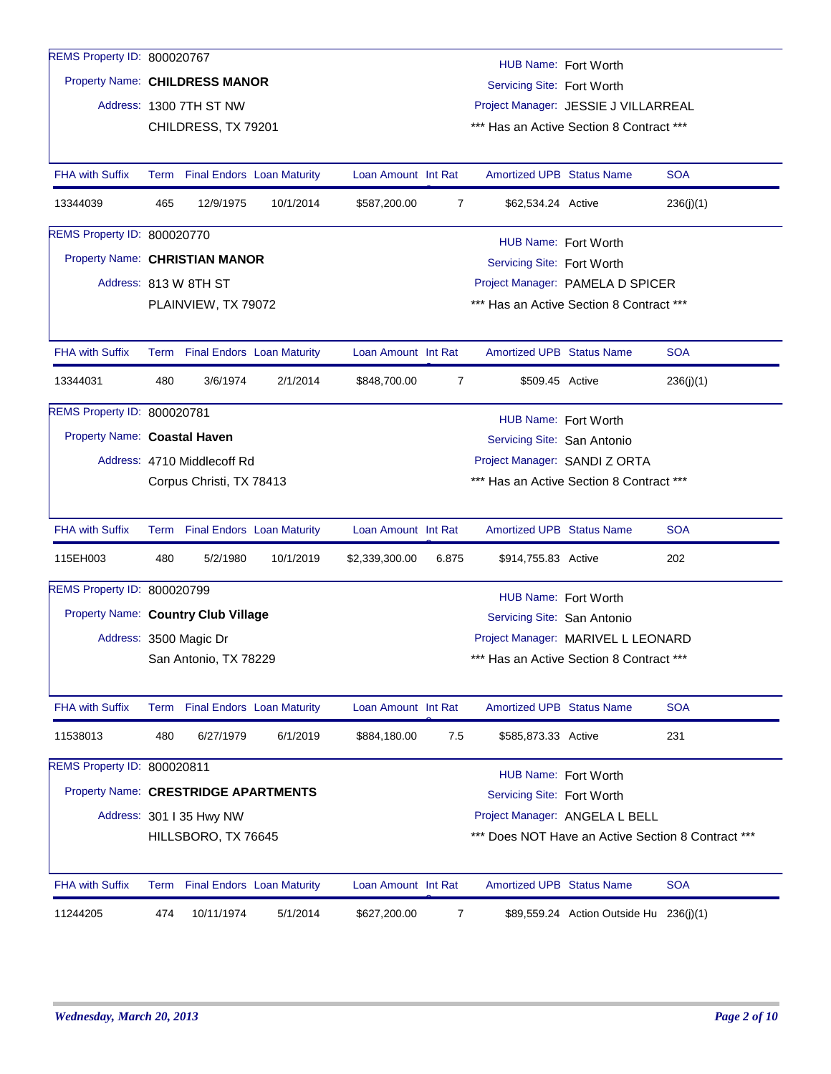| REMS Property ID: 800020767          |                                                                                             |                                                           |                                 |                     |       | HUB Name: Fort Worth             |                                          |                                                    |  |  |  |
|--------------------------------------|---------------------------------------------------------------------------------------------|-----------------------------------------------------------|---------------------------------|---------------------|-------|----------------------------------|------------------------------------------|----------------------------------------------------|--|--|--|
| Property Name: CHILDRESS MANOR       |                                                                                             |                                                           |                                 |                     |       | Servicing Site: Fort Worth       |                                          |                                                    |  |  |  |
|                                      |                                                                                             | Address: 1300 7TH ST NW                                   |                                 |                     |       |                                  | Project Manager: JESSIE J VILLARREAL     |                                                    |  |  |  |
|                                      |                                                                                             | CHILDRESS, TX 79201                                       |                                 |                     |       |                                  | *** Has an Active Section 8 Contract *** |                                                    |  |  |  |
|                                      |                                                                                             |                                                           |                                 |                     |       |                                  |                                          |                                                    |  |  |  |
| <b>FHA with Suffix</b>               |                                                                                             | Term Final Endors Loan Maturity                           |                                 | Loan Amount Int Rat |       | <b>Amortized UPB Status Name</b> |                                          | <b>SOA</b>                                         |  |  |  |
| 13344039                             | 465                                                                                         | 12/9/1975                                                 | 10/1/2014                       | \$587,200.00        | 7     | \$62,534.24 Active               |                                          | 236(j)(1)                                          |  |  |  |
| REMS Property ID: 800020770          |                                                                                             |                                                           |                                 |                     |       |                                  | HUB Name: Fort Worth                     |                                                    |  |  |  |
| Property Name: CHRISTIAN MANOR       |                                                                                             |                                                           |                                 |                     |       | Servicing Site: Fort Worth       |                                          |                                                    |  |  |  |
|                                      |                                                                                             | Address: 813 W 8TH ST<br>Project Manager: PAMELA D SPICER |                                 |                     |       |                                  |                                          |                                                    |  |  |  |
|                                      |                                                                                             | PLAINVIEW, TX 79072                                       |                                 |                     |       |                                  | *** Has an Active Section 8 Contract *** |                                                    |  |  |  |
|                                      |                                                                                             |                                                           |                                 |                     |       |                                  |                                          |                                                    |  |  |  |
| <b>FHA with Suffix</b>               |                                                                                             |                                                           | Term Final Endors Loan Maturity | Loan Amount Int Rat |       | <b>Amortized UPB Status Name</b> |                                          | <b>SOA</b>                                         |  |  |  |
| 13344031                             | 480                                                                                         | 3/6/1974                                                  | 2/1/2014                        | \$848,700.00        | 7     | \$509.45 Active                  |                                          | 236(j)(1)                                          |  |  |  |
| REMS Property ID: 800020781          |                                                                                             |                                                           |                                 |                     |       | HUB Name: Fort Worth             |                                          |                                                    |  |  |  |
| Property Name: Coastal Haven         |                                                                                             |                                                           |                                 |                     |       |                                  |                                          |                                                    |  |  |  |
|                                      | Servicing Site: San Antonio<br>Project Manager: SANDI Z ORTA<br>Address: 4710 Middlecoff Rd |                                                           |                                 |                     |       |                                  |                                          |                                                    |  |  |  |
|                                      |                                                                                             | Corpus Christi, TX 78413                                  |                                 |                     |       |                                  | *** Has an Active Section 8 Contract *** |                                                    |  |  |  |
|                                      |                                                                                             |                                                           |                                 |                     |       |                                  |                                          |                                                    |  |  |  |
| <b>FHA with Suffix</b>               |                                                                                             |                                                           | Term Final Endors Loan Maturity | Loan Amount Int Rat |       | <b>Amortized UPB Status Name</b> |                                          | <b>SOA</b>                                         |  |  |  |
| 115EH003                             | 480                                                                                         | 5/2/1980                                                  | 10/1/2019                       | \$2,339,300.00      | 6.875 | \$914,755.83 Active              |                                          | 202                                                |  |  |  |
| REMS Property ID: 800020799          |                                                                                             |                                                           |                                 |                     |       |                                  | HUB Name: Fort Worth                     |                                                    |  |  |  |
| Property Name: Country Club Village  |                                                                                             |                                                           |                                 |                     |       | Servicing Site: San Antonio      |                                          |                                                    |  |  |  |
|                                      |                                                                                             | Address: 3500 Magic Dr                                    |                                 |                     |       |                                  | Project Manager: MARIVEL L LEONARD       |                                                    |  |  |  |
|                                      |                                                                                             | San Antonio, TX 78229                                     |                                 |                     |       |                                  | *** Has an Active Section 8 Contract *** |                                                    |  |  |  |
|                                      |                                                                                             |                                                           |                                 |                     |       |                                  |                                          |                                                    |  |  |  |
| <b>FHA with Suffix</b>               |                                                                                             | Term Final Endors Loan Maturity                           |                                 | Loan Amount Int Rat |       | <b>Amortized UPB Status Name</b> |                                          | <b>SOA</b>                                         |  |  |  |
| 11538013                             | 480                                                                                         | 6/27/1979                                                 | 6/1/2019                        | \$884,180.00        | 7.5   | \$585,873.33 Active              |                                          | 231                                                |  |  |  |
| REMS Property ID: 800020811          |                                                                                             |                                                           |                                 |                     |       | HUB Name: Fort Worth             |                                          |                                                    |  |  |  |
| Property Name: CRESTRIDGE APARTMENTS |                                                                                             |                                                           |                                 |                     |       | Servicing Site: Fort Worth       |                                          |                                                    |  |  |  |
|                                      |                                                                                             | Address: 301   35 Hwy NW                                  |                                 |                     |       |                                  | Project Manager: ANGELA L BELL           |                                                    |  |  |  |
|                                      |                                                                                             | HILLSBORO, TX 76645                                       |                                 |                     |       |                                  |                                          | *** Does NOT Have an Active Section 8 Contract *** |  |  |  |
|                                      |                                                                                             |                                                           |                                 |                     |       |                                  |                                          |                                                    |  |  |  |
| <b>FHA with Suffix</b>               |                                                                                             |                                                           | Term Final Endors Loan Maturity | Loan Amount Int Rat |       | <b>Amortized UPB Status Name</b> |                                          | <b>SOA</b>                                         |  |  |  |
| 11244205                             | 474                                                                                         | 10/11/1974                                                | 5/1/2014                        | \$627,200.00        | 7     |                                  | \$89,559.24 Action Outside Hu 236(j)(1)  |                                                    |  |  |  |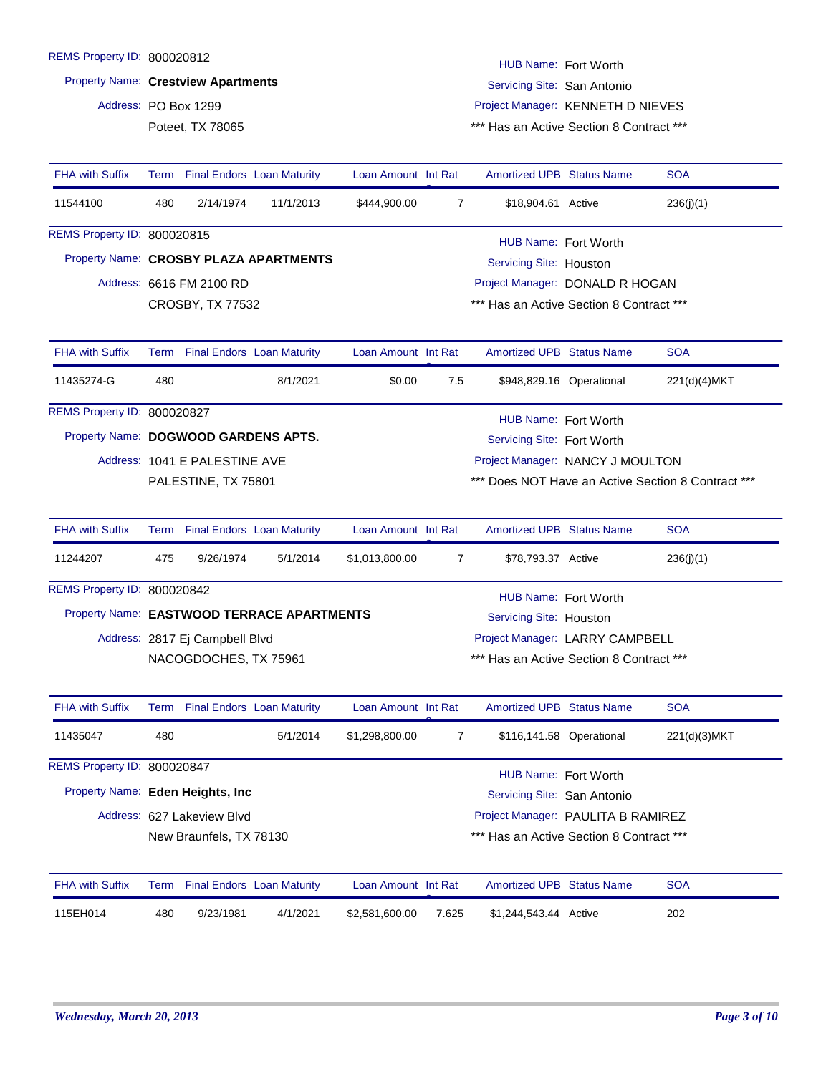| REMS Property ID: 800020812         |                                                                    |                                                                   |                                            |                     |                | HUB Name: Fort Worth                     |                          |                                                |  |  |  |  |
|-------------------------------------|--------------------------------------------------------------------|-------------------------------------------------------------------|--------------------------------------------|---------------------|----------------|------------------------------------------|--------------------------|------------------------------------------------|--|--|--|--|
| Property Name: Crestview Apartments |                                                                    |                                                                   |                                            |                     |                | Servicing Site: San Antonio              |                          |                                                |  |  |  |  |
| Address: PO Box 1299                |                                                                    |                                                                   |                                            |                     |                | Project Manager: KENNETH D NIEVES        |                          |                                                |  |  |  |  |
|                                     |                                                                    | Poteet, TX 78065                                                  |                                            |                     |                | *** Has an Active Section 8 Contract *** |                          |                                                |  |  |  |  |
|                                     |                                                                    |                                                                   |                                            |                     |                |                                          |                          |                                                |  |  |  |  |
| <b>FHA with Suffix</b>              |                                                                    |                                                                   | Term Final Endors Loan Maturity            | Loan Amount Int Rat |                | <b>Amortized UPB Status Name</b>         |                          | <b>SOA</b>                                     |  |  |  |  |
| 11544100                            | 480                                                                | 2/14/1974                                                         | 11/1/2013                                  | \$444,900.00        | $\overline{7}$ | \$18,904.61 Active                       |                          | 236(j)(1)                                      |  |  |  |  |
| REMS Property ID: 800020815         |                                                                    |                                                                   |                                            |                     |                | HUB Name: Fort Worth                     |                          |                                                |  |  |  |  |
|                                     |                                                                    | Property Name: CROSBY PLAZA APARTMENTS<br>Servicing Site: Houston |                                            |                     |                |                                          |                          |                                                |  |  |  |  |
|                                     |                                                                    | Address: 6616 FM 2100 RD                                          |                                            |                     |                | Project Manager: DONALD R HOGAN          |                          |                                                |  |  |  |  |
|                                     |                                                                    | <b>CROSBY, TX 77532</b>                                           |                                            |                     |                | *** Has an Active Section 8 Contract *** |                          |                                                |  |  |  |  |
|                                     |                                                                    |                                                                   |                                            |                     |                |                                          |                          |                                                |  |  |  |  |
| <b>FHA with Suffix</b>              |                                                                    |                                                                   | Term Final Endors Loan Maturity            | Loan Amount Int Rat |                | <b>Amortized UPB Status Name</b>         |                          | <b>SOA</b>                                     |  |  |  |  |
| 11435274-G                          | 480                                                                |                                                                   | 8/1/2021                                   | \$0.00              | 7.5            |                                          | \$948,829.16 Operational | 221(d)(4)MKT                                   |  |  |  |  |
| REMS Property ID: 800020827         |                                                                    |                                                                   |                                            |                     |                | HUB Name: Fort Worth                     |                          |                                                |  |  |  |  |
|                                     | Property Name: DOGWOOD GARDENS APTS.<br>Servicing Site: Fort Worth |                                                                   |                                            |                     |                |                                          |                          |                                                |  |  |  |  |
|                                     | Address: 1041 E PALESTINE AVE<br>Project Manager: NANCY J MOULTON  |                                                                   |                                            |                     |                |                                          |                          |                                                |  |  |  |  |
|                                     |                                                                    | PALESTINE, TX 75801                                               |                                            |                     |                |                                          |                          | Does NOT Have an Active Section 8 Contract *** |  |  |  |  |
|                                     |                                                                    |                                                                   |                                            |                     |                |                                          |                          |                                                |  |  |  |  |
| <b>FHA with Suffix</b>              |                                                                    |                                                                   | Term Final Endors Loan Maturity            | Loan Amount Int Rat |                | <b>Amortized UPB Status Name</b>         |                          | <b>SOA</b>                                     |  |  |  |  |
| 11244207                            | 475                                                                | 9/26/1974                                                         | 5/1/2014                                   | \$1,013,800.00      | 7              | \$78,793.37 Active                       |                          | 236(j)(1)                                      |  |  |  |  |
| REMS Property ID: 800020842         |                                                                    |                                                                   |                                            |                     |                | HUB Name: Fort Worth                     |                          |                                                |  |  |  |  |
|                                     |                                                                    |                                                                   | Property Name: EASTWOOD TERRACE APARTMENTS |                     |                | Servicing Site: Houston                  |                          |                                                |  |  |  |  |
|                                     |                                                                    | Address: 2817 Ej Campbell Blvd                                    |                                            |                     |                | Project Manager: LARRY CAMPBELL          |                          |                                                |  |  |  |  |
|                                     |                                                                    | NACOGDOCHES, TX 75961                                             |                                            |                     |                | *** Has an Active Section 8 Contract *** |                          |                                                |  |  |  |  |
|                                     |                                                                    |                                                                   |                                            |                     |                |                                          |                          |                                                |  |  |  |  |
| <b>FHA with Suffix</b>              | Term                                                               |                                                                   | <b>Final Endors Loan Maturity</b>          | Loan Amount Int Rat |                | <b>Amortized UPB Status Name</b>         |                          | <b>SOA</b>                                     |  |  |  |  |
| 11435047                            | 480                                                                |                                                                   | 5/1/2014                                   | \$1,298,800.00      | 7              |                                          | \$116,141.58 Operational | 221(d)(3)MKT                                   |  |  |  |  |
| REMS Property ID: 800020847         |                                                                    |                                                                   |                                            |                     |                | HUB Name: Fort Worth                     |                          |                                                |  |  |  |  |
| Property Name: Eden Heights, Inc    |                                                                    |                                                                   |                                            |                     |                | Servicing Site: San Antonio              |                          |                                                |  |  |  |  |
|                                     |                                                                    | Address: 627 Lakeview Blvd                                        |                                            |                     |                | Project Manager: PAULITA B RAMIREZ       |                          |                                                |  |  |  |  |
|                                     |                                                                    | New Braunfels, TX 78130                                           |                                            |                     |                | *** Has an Active Section 8 Contract *** |                          |                                                |  |  |  |  |
|                                     |                                                                    |                                                                   |                                            |                     |                |                                          |                          |                                                |  |  |  |  |
| <b>FHA with Suffix</b>              |                                                                    |                                                                   | Term Final Endors Loan Maturity            | Loan Amount Int Rat |                | <b>Amortized UPB Status Name</b>         |                          | <b>SOA</b>                                     |  |  |  |  |
| 115EH014                            | 480                                                                | 9/23/1981                                                         | 4/1/2021                                   | \$2,581,600.00      | 7.625          | \$1,244,543.44 Active                    |                          | 202                                            |  |  |  |  |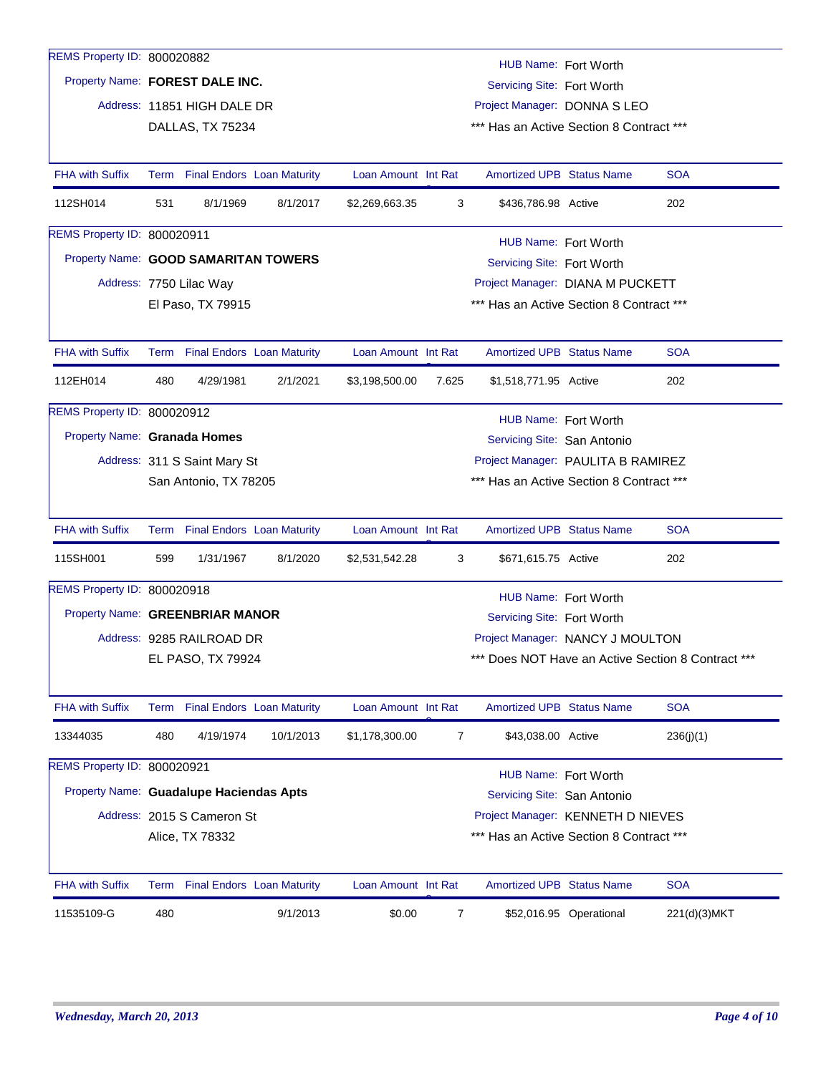| REMS Property ID: 800020882             |                                                                                                  |                                 |                                 |                     |       | HUB Name: Fort Worth                     |                                    |                                                    |
|-----------------------------------------|--------------------------------------------------------------------------------------------------|---------------------------------|---------------------------------|---------------------|-------|------------------------------------------|------------------------------------|----------------------------------------------------|
| Property Name: FOREST DALE INC.         |                                                                                                  |                                 |                                 |                     |       | Servicing Site: Fort Worth               |                                    |                                                    |
|                                         |                                                                                                  | Address: 11851 HIGH DALE DR     |                                 |                     |       | Project Manager: DONNA S LEO             |                                    |                                                    |
|                                         |                                                                                                  | DALLAS, TX 75234                |                                 |                     |       | *** Has an Active Section 8 Contract *** |                                    |                                                    |
|                                         |                                                                                                  |                                 |                                 |                     |       |                                          |                                    |                                                    |
| <b>FHA with Suffix</b>                  |                                                                                                  | Term Final Endors Loan Maturity |                                 | Loan Amount Int Rat |       | <b>Amortized UPB Status Name</b>         |                                    | <b>SOA</b>                                         |
| 112SH014                                | 531                                                                                              | 8/1/1969                        | 8/1/2017                        | \$2,269,663.35      | 3     | \$436,786.98 Active                      |                                    | 202                                                |
| REMS Property ID: 800020911             |                                                                                                  |                                 |                                 |                     |       | HUB Name: Fort Worth                     |                                    |                                                    |
| Property Name: GOOD SAMARITAN TOWERS    |                                                                                                  |                                 |                                 |                     |       | Servicing Site: Fort Worth               |                                    |                                                    |
|                                         |                                                                                                  | Address: 7750 Lilac Way         |                                 |                     |       | Project Manager: DIANA M PUCKETT         |                                    |                                                    |
|                                         |                                                                                                  | El Paso, TX 79915               |                                 |                     |       | *** Has an Active Section 8 Contract *** |                                    |                                                    |
|                                         |                                                                                                  |                                 |                                 |                     |       |                                          |                                    |                                                    |
| <b>FHA with Suffix</b>                  |                                                                                                  | Term Final Endors Loan Maturity |                                 | Loan Amount Int Rat |       | <b>Amortized UPB Status Name</b>         |                                    | <b>SOA</b>                                         |
| 112EH014                                | 480                                                                                              | 4/29/1981                       | 2/1/2021                        | \$3,198,500.00      | 7.625 | \$1,518,771.95 Active                    |                                    | 202                                                |
| REMS Property ID: 800020912             |                                                                                                  |                                 |                                 |                     |       | HUB Name: Fort Worth                     |                                    |                                                    |
| Property Name: Granada Homes            |                                                                                                  |                                 |                                 |                     |       | Servicing Site: San Antonio              |                                    |                                                    |
|                                         | Address: 311 S Saint Mary St                                                                     |                                 |                                 |                     |       |                                          | Project Manager: PAULITA B RAMIREZ |                                                    |
|                                         | *** Has an Active Section 8 Contract ***<br>San Antonio, TX 78205                                |                                 |                                 |                     |       |                                          |                                    |                                                    |
|                                         |                                                                                                  |                                 |                                 |                     |       |                                          |                                    |                                                    |
| <b>FHA with Suffix</b>                  |                                                                                                  | Term Final Endors Loan Maturity |                                 | Loan Amount Int Rat |       | <b>Amortized UPB Status Name</b>         |                                    | <b>SOA</b>                                         |
| 115SH001                                | 599                                                                                              | 1/31/1967                       | 8/1/2020                        | \$2,531,542.28      | 3     | \$671,615.75 Active                      |                                    | 202                                                |
| REMS Property ID: 800020918             |                                                                                                  |                                 |                                 |                     |       | HUB Name: Fort Worth                     |                                    |                                                    |
| Property Name: GREENBRIAR MANOR         |                                                                                                  |                                 |                                 |                     |       | Servicing Site: Fort Worth               |                                    |                                                    |
|                                         |                                                                                                  | Address: 9285 RAILROAD DR       |                                 |                     |       | Project Manager: NANCY J MOULTON         |                                    |                                                    |
|                                         |                                                                                                  | EL PASO, TX 79924               |                                 |                     |       |                                          |                                    | *** Does NOT Have an Active Section 8 Contract *** |
|                                         |                                                                                                  |                                 |                                 |                     |       |                                          |                                    |                                                    |
| <b>FHA with Suffix</b>                  |                                                                                                  | Term Final Endors Loan Maturity |                                 | Loan Amount Int Rat |       | Amortized UPB Status Name                |                                    | <b>SOA</b>                                         |
| 13344035                                | 480                                                                                              | 4/19/1974                       | 10/1/2013                       | \$1,178,300.00      | 7     | \$43,038.00 Active                       |                                    | 236(j)(1)                                          |
| REMS Property ID: 800020921             |                                                                                                  |                                 |                                 |                     |       | HUB Name: Fort Worth                     |                                    |                                                    |
| Property Name: Guadalupe Haciendas Apts |                                                                                                  |                                 |                                 |                     |       | Servicing Site: San Antonio              |                                    |                                                    |
|                                         |                                                                                                  | Address: 2015 S Cameron St      |                                 |                     |       |                                          |                                    |                                                    |
|                                         | Project Manager: KENNETH D NIEVES<br>*** Has an Active Section 8 Contract ***<br>Alice, TX 78332 |                                 |                                 |                     |       |                                          |                                    |                                                    |
|                                         |                                                                                                  |                                 |                                 |                     |       |                                          |                                    |                                                    |
| <b>FHA with Suffix</b>                  |                                                                                                  |                                 | Term Final Endors Loan Maturity | Loan Amount Int Rat |       | <b>Amortized UPB Status Name</b>         |                                    | <b>SOA</b>                                         |
|                                         |                                                                                                  |                                 |                                 |                     |       |                                          |                                    |                                                    |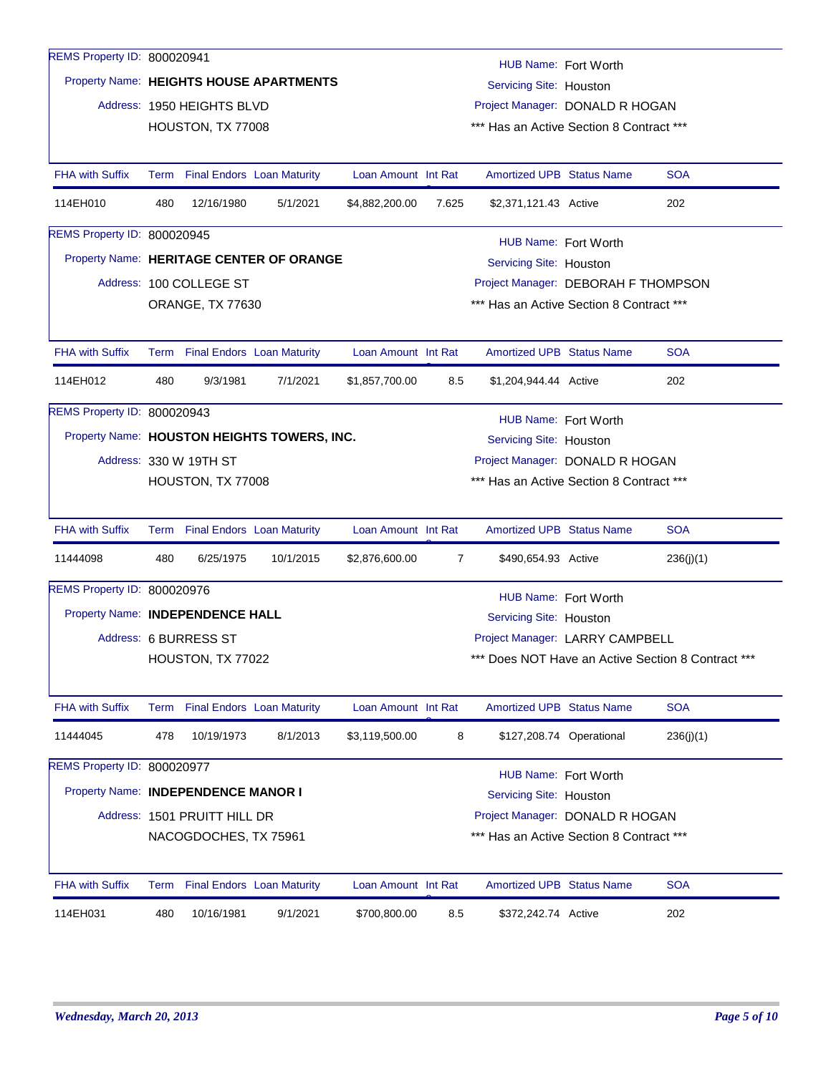| REMS Property ID: 800020941         |                                                                |                                 |                                             |                     |                | HUB Name: Fort Worth                     |  |                                                    |  |
|-------------------------------------|----------------------------------------------------------------|---------------------------------|---------------------------------------------|---------------------|----------------|------------------------------------------|--|----------------------------------------------------|--|
|                                     |                                                                |                                 | Property Name: HEIGHTS HOUSE APARTMENTS     |                     |                | Servicing Site: Houston                  |  |                                                    |  |
|                                     |                                                                | Address: 1950 HEIGHTS BLVD      |                                             |                     |                | Project Manager: DONALD R HOGAN          |  |                                                    |  |
|                                     |                                                                | HOUSTON, TX 77008               |                                             |                     |                | *** Has an Active Section 8 Contract *** |  |                                                    |  |
|                                     |                                                                |                                 |                                             |                     |                |                                          |  |                                                    |  |
| <b>FHA with Suffix</b>              |                                                                | Term Final Endors Loan Maturity |                                             | Loan Amount Int Rat |                | <b>Amortized UPB Status Name</b>         |  | <b>SOA</b>                                         |  |
| 114EH010                            | 480                                                            | 12/16/1980                      | 5/1/2021                                    | \$4,882,200.00      | 7.625          | \$2,371,121.43 Active                    |  | 202                                                |  |
| REMS Property ID: 800020945         |                                                                |                                 |                                             |                     |                | HUB Name: Fort Worth                     |  |                                                    |  |
|                                     |                                                                |                                 | Property Name: HERITAGE CENTER OF ORANGE    |                     |                | Servicing Site: Houston                  |  |                                                    |  |
|                                     | Address: 100 COLLEGE ST<br>Project Manager: DEBORAH F THOMPSON |                                 |                                             |                     |                |                                          |  |                                                    |  |
|                                     |                                                                | ORANGE, TX 77630                |                                             |                     |                | *** Has an Active Section 8 Contract *** |  |                                                    |  |
|                                     |                                                                |                                 |                                             |                     |                |                                          |  |                                                    |  |
| <b>FHA with Suffix</b>              |                                                                | Term Final Endors Loan Maturity |                                             | Loan Amount Int Rat |                | <b>Amortized UPB Status Name</b>         |  | <b>SOA</b>                                         |  |
| 114EH012                            | 480                                                            | 9/3/1981                        | 7/1/2021                                    | \$1,857,700.00      | 8.5            | \$1,204,944.44 Active                    |  | 202                                                |  |
| REMS Property ID: 800020943         |                                                                |                                 |                                             |                     |                | HUB Name: Fort Worth                     |  |                                                    |  |
|                                     |                                                                |                                 | Property Name: HOUSTON HEIGHTS TOWERS, INC. |                     |                | Servicing Site: Houston                  |  |                                                    |  |
|                                     |                                                                | Address: 330 W 19TH ST          |                                             |                     |                | Project Manager: DONALD R HOGAN          |  |                                                    |  |
|                                     |                                                                | HOUSTON, TX 77008               |                                             |                     |                | *** Has an Active Section 8 Contract *** |  |                                                    |  |
| <b>FHA with Suffix</b>              |                                                                | Term Final Endors Loan Maturity |                                             | Loan Amount Int Rat |                | <b>Amortized UPB Status Name</b>         |  | <b>SOA</b>                                         |  |
| 11444098                            | 480                                                            | 6/25/1975                       | 10/1/2015                                   | \$2,876,600.00      | $\overline{7}$ | \$490,654.93 Active                      |  | 236(j)(1)                                          |  |
| REMS Property ID: 800020976         |                                                                |                                 |                                             |                     |                | HUB Name: Fort Worth                     |  |                                                    |  |
| Property Name: INDEPENDENCE HALL    |                                                                |                                 |                                             |                     |                | Servicing Site: Houston                  |  |                                                    |  |
|                                     |                                                                | Address: 6 BURRESS ST           |                                             |                     |                | Project Manager: LARRY CAMPBELL          |  |                                                    |  |
|                                     |                                                                | HOUSTON, TX 77022               |                                             |                     |                |                                          |  | *** Does NOT Have an Active Section 8 Contract *** |  |
| <b>FHA with Suffix</b>              |                                                                | Term Final Endors Loan Maturity |                                             | Loan Amount Int Rat |                | <b>Amortized UPB Status Name</b>         |  | <b>SOA</b>                                         |  |
| 11444045                            | 478                                                            | 10/19/1973                      | 8/1/2013                                    | \$3,119,500.00      | 8              | \$127,208.74 Operational                 |  | 236(j)(1)                                          |  |
| REMS Property ID: 800020977         |                                                                |                                 |                                             |                     |                |                                          |  |                                                    |  |
| Property Name: INDEPENDENCE MANOR I |                                                                |                                 |                                             |                     |                | HUB Name: Fort Worth                     |  |                                                    |  |
|                                     |                                                                |                                 |                                             |                     |                | Servicing Site: Houston                  |  |                                                    |  |
|                                     |                                                                | Address: 1501 PRUITT HILL DR    |                                             |                     |                | Project Manager: DONALD R HOGAN          |  |                                                    |  |
|                                     |                                                                | NACOGDOCHES, TX 75961           |                                             |                     |                | *** Has an Active Section 8 Contract *** |  |                                                    |  |
| <b>FHA with Suffix</b>              | Term                                                           |                                 | <b>Final Endors Loan Maturity</b>           | Loan Amount Int Rat |                | Amortized UPB Status Name                |  | <b>SOA</b>                                         |  |
| 114EH031                            | 480                                                            | 10/16/1981                      | 9/1/2021                                    | \$700,800.00        | 8.5            | \$372,242.74 Active                      |  | 202                                                |  |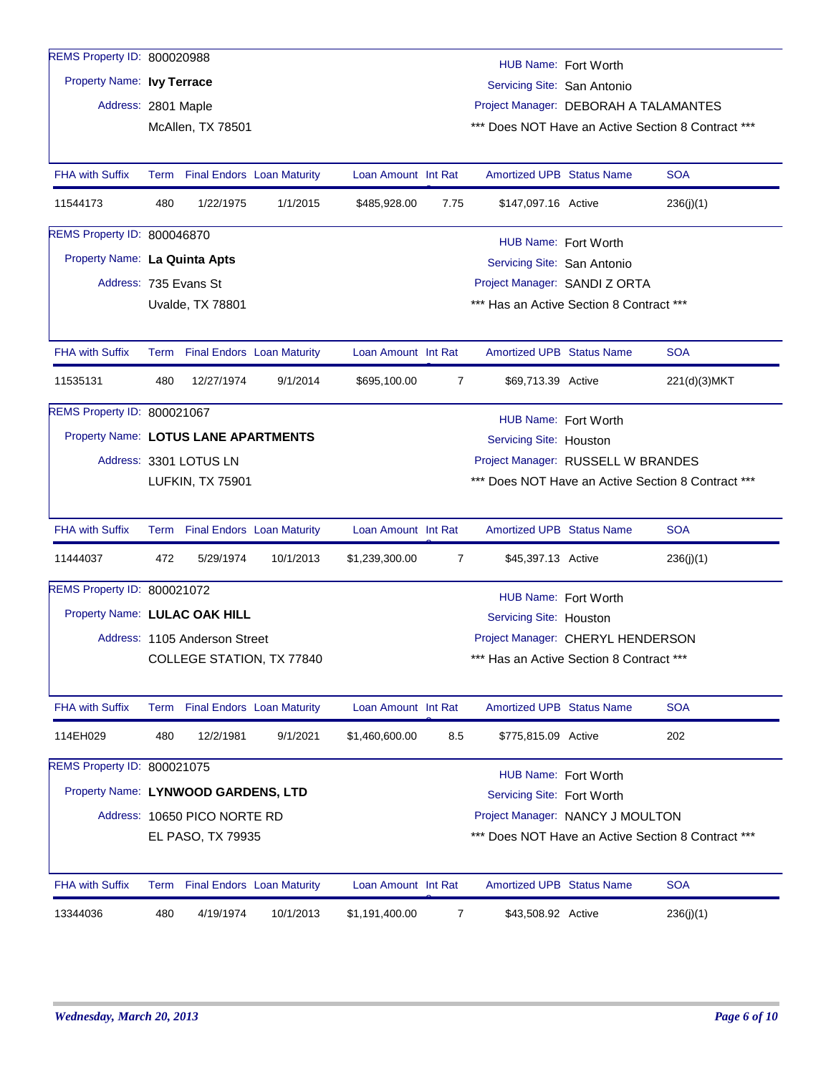| REMS Property ID: 800020988          |      |                               |                                   |                     |                |                                          | HUB Name: Fort Worth |                                                    |
|--------------------------------------|------|-------------------------------|-----------------------------------|---------------------|----------------|------------------------------------------|----------------------|----------------------------------------------------|
| Property Name: Ivy Terrace           |      |                               |                                   |                     |                | Servicing Site: San Antonio              |                      |                                                    |
| Address: 2801 Maple                  |      |                               |                                   |                     |                | Project Manager: DEBORAH A TALAMANTES    |                      |                                                    |
|                                      |      | McAllen, TX 78501             |                                   |                     |                |                                          |                      | *** Does NOT Have an Active Section 8 Contract *** |
|                                      |      |                               |                                   |                     |                |                                          |                      |                                                    |
| <b>FHA with Suffix</b>               | Term |                               | <b>Final Endors Loan Maturity</b> | Loan Amount Int Rat |                | <b>Amortized UPB Status Name</b>         |                      | <b>SOA</b>                                         |
| 11544173                             | 480  | 1/22/1975                     | 1/1/2015                          | \$485,928.00        | 7.75           | \$147,097.16 Active                      |                      | 236(j)(1)                                          |
| REMS Property ID: 800046870          |      |                               |                                   |                     |                |                                          | HUB Name: Fort Worth |                                                    |
| Property Name: La Quinta Apts        |      |                               |                                   |                     |                | Servicing Site: San Antonio              |                      |                                                    |
| Address: 735 Evans St                |      |                               |                                   |                     |                | Project Manager: SANDI Z ORTA            |                      |                                                    |
|                                      |      | Uvalde, TX 78801              |                                   |                     |                | *** Has an Active Section 8 Contract *** |                      |                                                    |
|                                      |      |                               |                                   |                     |                |                                          |                      |                                                    |
| <b>FHA with Suffix</b>               | Term |                               | <b>Final Endors Loan Maturity</b> | Loan Amount Int Rat |                | <b>Amortized UPB Status Name</b>         |                      | <b>SOA</b>                                         |
| 11535131                             | 480  | 12/27/1974                    | 9/1/2014                          | \$695,100.00        | $\overline{7}$ | \$69,713.39 Active                       |                      | 221(d)(3)MKT                                       |
| REMS Property ID: 800021067          |      |                               |                                   |                     |                |                                          | HUB Name: Fort Worth |                                                    |
| Property Name: LOTUS LANE APARTMENTS |      |                               |                                   |                     |                | Servicing Site: Houston                  |                      |                                                    |
|                                      |      | Address: 3301 LOTUS LN        |                                   |                     |                | Project Manager: RUSSELL W BRANDES       |                      |                                                    |
|                                      |      | LUFKIN, TX 75901              |                                   |                     |                |                                          |                      | *** Does NOT Have an Active Section 8 Contract *** |
|                                      |      |                               |                                   |                     |                |                                          |                      |                                                    |
| <b>FHA with Suffix</b>               |      |                               | Term Final Endors Loan Maturity   | Loan Amount Int Rat |                | <b>Amortized UPB Status Name</b>         |                      | <b>SOA</b>                                         |
| 11444037                             | 472  | 5/29/1974                     | 10/1/2013                         | \$1,239,300.00      | 7              | \$45,397.13 Active                       |                      | 236(j)(1)                                          |
| REMS Property ID: 800021072          |      |                               |                                   |                     |                |                                          | HUB Name: Fort Worth |                                                    |
| Property Name: LULAC OAK HILL        |      |                               |                                   |                     |                | Servicing Site: Houston                  |                      |                                                    |
|                                      |      | Address: 1105 Anderson Street |                                   |                     |                | Project Manager: CHERYL HENDERSON        |                      |                                                    |
|                                      |      |                               | COLLEGE STATION, TX 77840         |                     |                | *** Has an Active Section 8 Contract *** |                      |                                                    |
|                                      |      |                               |                                   |                     |                |                                          |                      |                                                    |
| <b>FHA with Suffix</b>               | Term |                               | <b>Final Endors Loan Maturity</b> | Loan Amount Int Rat |                | <b>Amortized UPB Status Name</b>         |                      | <b>SOA</b>                                         |
| 114EH029                             | 480  | 12/2/1981                     | 9/1/2021                          | \$1,460,600.00      | 8.5            | \$775,815.09 Active                      |                      | 202                                                |
| REMS Property ID: 800021075          |      |                               |                                   |                     |                |                                          | HUB Name: Fort Worth |                                                    |
| Property Name: LYNWOOD GARDENS, LTD  |      |                               |                                   |                     |                | Servicing Site: Fort Worth               |                      |                                                    |
|                                      |      | Address: 10650 PICO NORTE RD  |                                   |                     |                | Project Manager: NANCY J MOULTON         |                      |                                                    |
|                                      |      | EL PASO, TX 79935             |                                   |                     |                |                                          |                      | *** Does NOT Have an Active Section 8 Contract *** |
|                                      |      |                               |                                   |                     |                |                                          |                      |                                                    |
| <b>FHA with Suffix</b>               |      |                               | Term Final Endors Loan Maturity   | Loan Amount Int Rat |                | <b>Amortized UPB Status Name</b>         |                      | <b>SOA</b>                                         |
| 13344036                             | 480  | 4/19/1974                     | 10/1/2013                         | \$1,191,400.00      | 7              | \$43,508.92 Active                       |                      | 236(j)(1)                                          |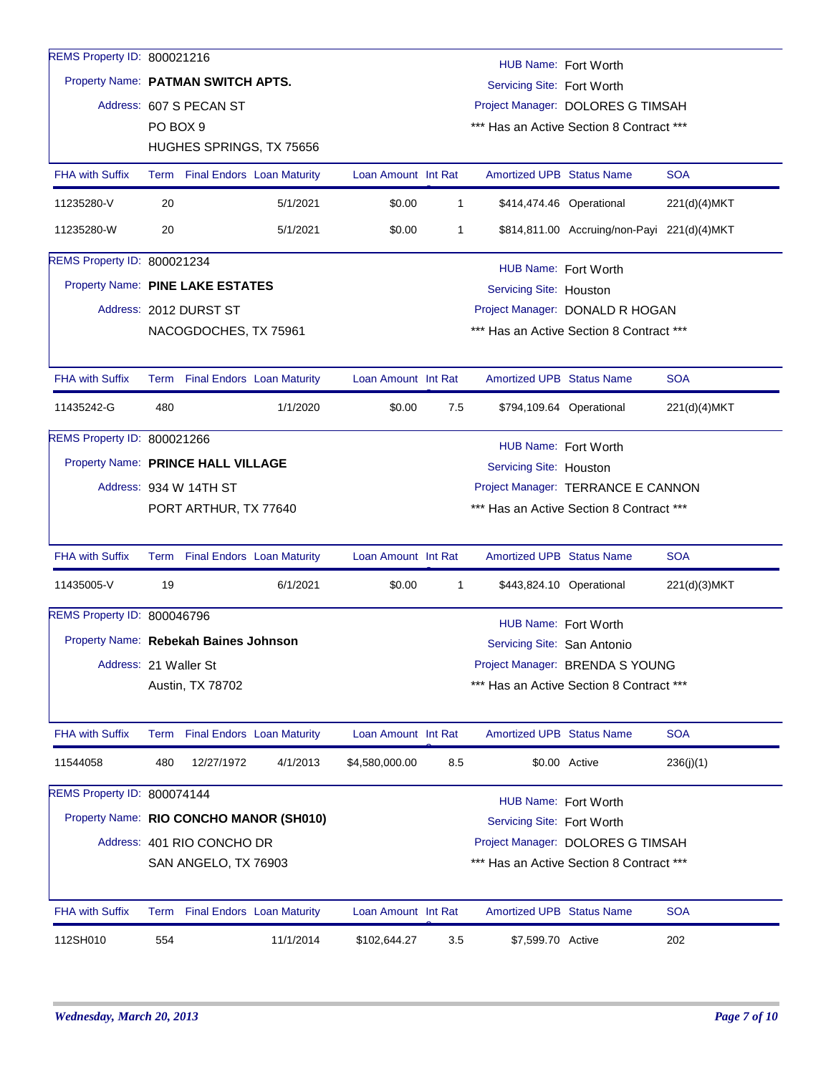| REMS Property ID: 800021216             |                                                                   |                                                               |                                 |                     |              | HUB Name: Fort Worth             |                                             |              |  |  |  |
|-----------------------------------------|-------------------------------------------------------------------|---------------------------------------------------------------|---------------------------------|---------------------|--------------|----------------------------------|---------------------------------------------|--------------|--|--|--|
| Property Name: PATMAN SWITCH APTS.      |                                                                   |                                                               |                                 |                     |              | Servicing Site: Fort Worth       |                                             |              |  |  |  |
|                                         |                                                                   | Address: 607 S PECAN ST                                       |                                 |                     |              |                                  | Project Manager: DOLORES G TIMSAH           |              |  |  |  |
|                                         | PO BOX 9                                                          |                                                               |                                 |                     |              |                                  | *** Has an Active Section 8 Contract ***    |              |  |  |  |
|                                         |                                                                   |                                                               | HUGHES SPRINGS, TX 75656        |                     |              |                                  |                                             |              |  |  |  |
| <b>FHA with Suffix</b>                  |                                                                   |                                                               | Term Final Endors Loan Maturity | Loan Amount Int Rat |              | <b>Amortized UPB Status Name</b> |                                             | <b>SOA</b>   |  |  |  |
| 11235280-V                              | 20                                                                |                                                               | 5/1/2021                        | \$0.00              | $\mathbf{1}$ | \$414,474.46 Operational         |                                             | 221(d)(4)MKT |  |  |  |
| 11235280-W                              | 20                                                                |                                                               | 5/1/2021                        | \$0.00              | 1            |                                  | \$814,811.00 Accruing/non-Payi 221(d)(4)MKT |              |  |  |  |
| REMS Property ID: 800021234             |                                                                   | HUB Name: Fort Worth                                          |                                 |                     |              |                                  |                                             |              |  |  |  |
|                                         |                                                                   | Property Name: PINE LAKE ESTATES<br>Servicing Site: Houston   |                                 |                     |              |                                  |                                             |              |  |  |  |
|                                         |                                                                   | Address: 2012 DURST ST                                        |                                 |                     |              |                                  | Project Manager: DONALD R HOGAN             |              |  |  |  |
|                                         |                                                                   | NACOGDOCHES, TX 75961                                         |                                 |                     |              |                                  | *** Has an Active Section 8 Contract ***    |              |  |  |  |
| <b>FHA with Suffix</b>                  |                                                                   |                                                               | Term Final Endors Loan Maturity | Loan Amount Int Rat |              | <b>Amortized UPB Status Name</b> |                                             | <b>SOA</b>   |  |  |  |
| 11435242-G                              | 480                                                               |                                                               | 1/1/2020                        | \$0.00              | 7.5          |                                  | \$794,109.64 Operational                    | 221(d)(4)MKT |  |  |  |
| REMS Property ID: 800021266             |                                                                   | HUB Name: Fort Worth                                          |                                 |                     |              |                                  |                                             |              |  |  |  |
|                                         |                                                                   | Property Name: PRINCE HALL VILLAGE<br>Servicing Site: Houston |                                 |                     |              |                                  |                                             |              |  |  |  |
|                                         | Address: 934 W 14TH ST<br>Project Manager: TERRANCE E CANNON      |                                                               |                                 |                     |              |                                  |                                             |              |  |  |  |
|                                         | *** Has an Active Section 8 Contract ***<br>PORT ARTHUR, TX 77640 |                                                               |                                 |                     |              |                                  |                                             |              |  |  |  |
| <b>FHA with Suffix</b>                  |                                                                   |                                                               | Term Final Endors Loan Maturity | Loan Amount Int Rat |              | <b>Amortized UPB Status Name</b> |                                             | <b>SOA</b>   |  |  |  |
| 11435005-V                              | 19                                                                |                                                               | 6/1/2021                        | \$0.00              | 1            |                                  | \$443,824.10 Operational                    | 221(d)(3)MKT |  |  |  |
| REMS Property ID: 800046796             |                                                                   |                                                               |                                 |                     |              | HUB Name: Fort Worth             |                                             |              |  |  |  |
| Property Name: Rebekah Baines Johnson   |                                                                   |                                                               |                                 |                     |              | Servicing Site: San Antonio      |                                             |              |  |  |  |
| Address: 21 Waller St                   |                                                                   |                                                               |                                 |                     |              |                                  | Project Manager: BRENDA S YOUNG             |              |  |  |  |
|                                         |                                                                   | Austin, TX 78702                                              |                                 |                     |              |                                  | *** Has an Active Section 8 Contract ***    |              |  |  |  |
| <b>FHA with Suffix</b>                  |                                                                   |                                                               | Term Final Endors Loan Maturity | Loan Amount Int Rat |              | <b>Amortized UPB Status Name</b> |                                             | <b>SOA</b>   |  |  |  |
| 11544058                                | 480                                                               | 12/27/1972                                                    | 4/1/2013                        | \$4,580,000.00      | 8.5          |                                  | \$0.00 Active                               | 236(j)(1)    |  |  |  |
| REMS Property ID: 800074144             |                                                                   |                                                               |                                 |                     |              | HUB Name: Fort Worth             |                                             |              |  |  |  |
| Property Name: RIO CONCHO MANOR (SH010) |                                                                   |                                                               |                                 |                     |              | Servicing Site: Fort Worth       |                                             |              |  |  |  |
|                                         |                                                                   | Address: 401 RIO CONCHO DR                                    |                                 |                     |              |                                  | Project Manager: DOLORES G TIMSAH           |              |  |  |  |
|                                         |                                                                   | SAN ANGELO, TX 76903                                          |                                 |                     |              |                                  | *** Has an Active Section 8 Contract ***    |              |  |  |  |
| FHA with Suffix                         |                                                                   |                                                               | Term Final Endors Loan Maturity | Loan Amount Int Rat |              | Amortized UPB Status Name        |                                             | <b>SOA</b>   |  |  |  |
| 112SH010                                | 554                                                               |                                                               | 11/1/2014                       | \$102,644.27        | 3.5          | \$7,599.70 Active                |                                             | 202          |  |  |  |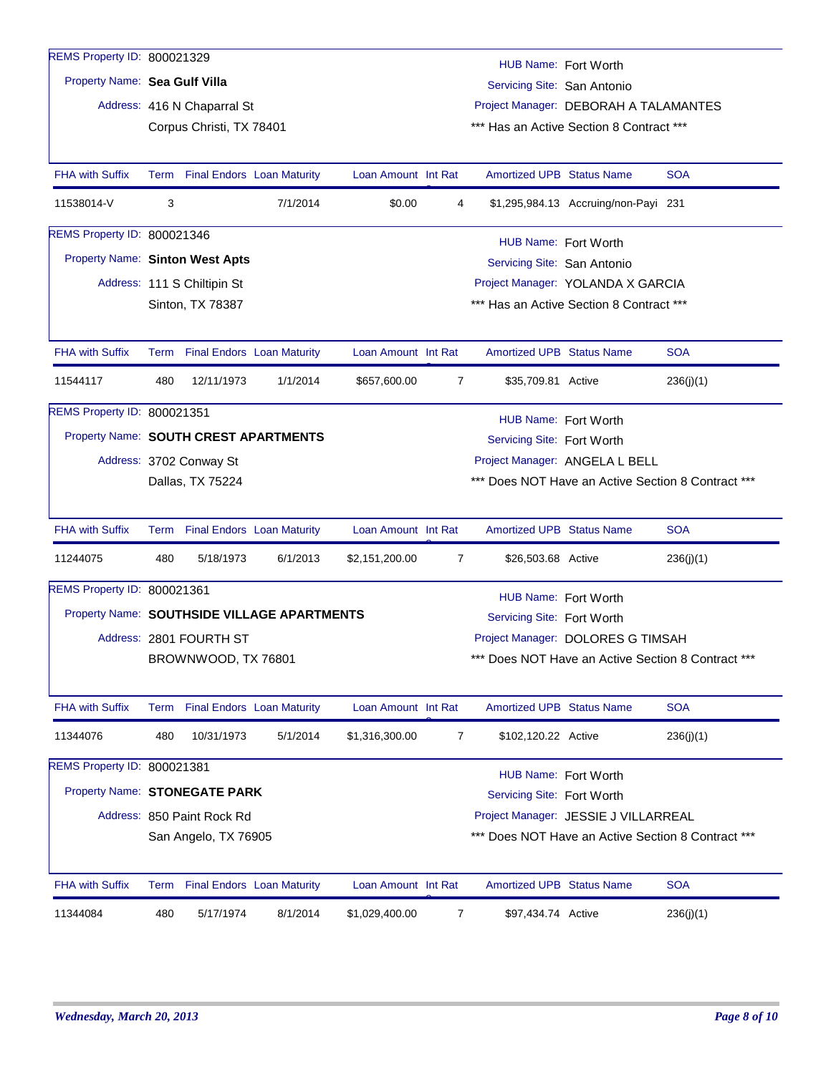| REMS Property ID: 800021329                 |      |                                             |                                   |                     |                |                                                    | HUB Name: Fort Worth                                                                 |            |  |
|---------------------------------------------|------|---------------------------------------------|-----------------------------------|---------------------|----------------|----------------------------------------------------|--------------------------------------------------------------------------------------|------------|--|
| Property Name: Sea Gulf Villa               |      |                                             |                                   |                     |                | Servicing Site: San Antonio                        |                                                                                      |            |  |
|                                             |      | Address: 416 N Chaparral St                 |                                   |                     |                |                                                    | Project Manager: DEBORAH A TALAMANTES                                                |            |  |
|                                             |      | Corpus Christi, TX 78401                    |                                   |                     |                |                                                    | *** Has an Active Section 8 Contract ***                                             |            |  |
|                                             |      |                                             |                                   |                     |                |                                                    |                                                                                      |            |  |
| <b>FHA with Suffix</b>                      |      |                                             | Term Final Endors Loan Maturity   | Loan Amount Int Rat |                | <b>Amortized UPB Status Name</b>                   |                                                                                      | <b>SOA</b> |  |
| 11538014-V                                  | 3    |                                             | 7/1/2014                          | \$0.00              | 4              |                                                    | \$1,295,984.13 Accruing/non-Payi 231                                                 |            |  |
| REMS Property ID: 800021346                 |      |                                             |                                   |                     |                |                                                    | HUB Name: Fort Worth                                                                 |            |  |
| Property Name: Sinton West Apts             |      |                                             |                                   |                     |                | Servicing Site: San Antonio                        |                                                                                      |            |  |
|                                             |      | Address: 111 S Chiltipin St                 |                                   |                     |                |                                                    | Project Manager: YOLANDA X GARCIA                                                    |            |  |
|                                             |      | Sinton, TX 78387                            |                                   |                     |                |                                                    | *** Has an Active Section 8 Contract ***                                             |            |  |
|                                             |      |                                             |                                   |                     |                |                                                    |                                                                                      |            |  |
| <b>FHA with Suffix</b>                      |      |                                             | Term Final Endors Loan Maturity   | Loan Amount Int Rat |                | <b>Amortized UPB Status Name</b>                   |                                                                                      | <b>SOA</b> |  |
| 11544117                                    | 480  | 12/11/1973                                  | 1/1/2014                          | \$657,600.00        | $\overline{7}$ | \$35,709.81 Active                                 |                                                                                      | 236(j)(1)  |  |
| REMS Property ID: 800021351                 |      |                                             |                                   |                     |                |                                                    |                                                                                      |            |  |
| Property Name: SOUTH CREST APARTMENTS       |      |                                             |                                   |                     |                |                                                    | HUB Name: Fort Worth                                                                 |            |  |
|                                             |      |                                             |                                   |                     |                | Servicing Site: Fort Worth                         |                                                                                      |            |  |
|                                             |      | Address: 3702 Conway St<br>Dallas, TX 75224 |                                   |                     |                |                                                    | Project Manager: ANGELA L BELL<br>*** Does NOT Have an Active Section 8 Contract *** |            |  |
|                                             |      |                                             |                                   |                     |                |                                                    |                                                                                      |            |  |
| <b>FHA with Suffix</b>                      |      |                                             | Term Final Endors Loan Maturity   | Loan Amount Int Rat |                | <b>Amortized UPB Status Name</b>                   |                                                                                      | <b>SOA</b> |  |
| 11244075                                    | 480  | 5/18/1973                                   | 6/1/2013                          | \$2,151,200.00      | 7              | \$26,503.68 Active                                 |                                                                                      | 236(j)(1)  |  |
| REMS Property ID: 800021361                 |      |                                             |                                   |                     |                |                                                    |                                                                                      |            |  |
| Property Name: SOUTHSIDE VILLAGE APARTMENTS |      |                                             |                                   |                     |                | HUB Name: Fort Worth<br>Servicing Site: Fort Worth |                                                                                      |            |  |
|                                             |      | Address: 2801 FOURTH ST                     |                                   |                     |                |                                                    | Project Manager: DOLORES G TIMSAH                                                    |            |  |
|                                             |      | BROWNWOOD, TX 76801                         |                                   |                     |                |                                                    | Does NOT Have an Active Section 8 Contract ***                                       |            |  |
|                                             |      |                                             |                                   |                     |                |                                                    |                                                                                      |            |  |
| <b>FHA with Suffix</b>                      | Term |                                             | <b>Final Endors Loan Maturity</b> | Loan Amount Int Rat |                | Amortized UPB Status Name                          |                                                                                      | <b>SOA</b> |  |
| 11344076                                    | 480  | 10/31/1973                                  | 5/1/2014                          | \$1,316,300.00      | $\overline{7}$ | \$102,120.22 Active                                |                                                                                      | 236(j)(1)  |  |
| REMS Property ID: 800021381                 |      |                                             |                                   |                     |                |                                                    | HUB Name: Fort Worth                                                                 |            |  |
| Property Name: STONEGATE PARK               |      |                                             |                                   |                     |                | Servicing Site: Fort Worth                         |                                                                                      |            |  |
|                                             |      | Address: 850 Paint Rock Rd                  |                                   |                     |                |                                                    | Project Manager: JESSIE J VILLARREAL                                                 |            |  |
|                                             |      | San Angelo, TX 76905                        |                                   |                     |                |                                                    | *** Does NOT Have an Active Section 8 Contract ***                                   |            |  |
|                                             |      |                                             |                                   |                     |                |                                                    |                                                                                      |            |  |
| <b>FHA with Suffix</b>                      |      |                                             | Term Final Endors Loan Maturity   | Loan Amount Int Rat |                | Amortized UPB Status Name                          |                                                                                      | <b>SOA</b> |  |
| 11344084                                    | 480  | 5/17/1974                                   | 8/1/2014                          | \$1,029,400.00      | 7              | \$97,434.74 Active                                 |                                                                                      | 236(j)(1)  |  |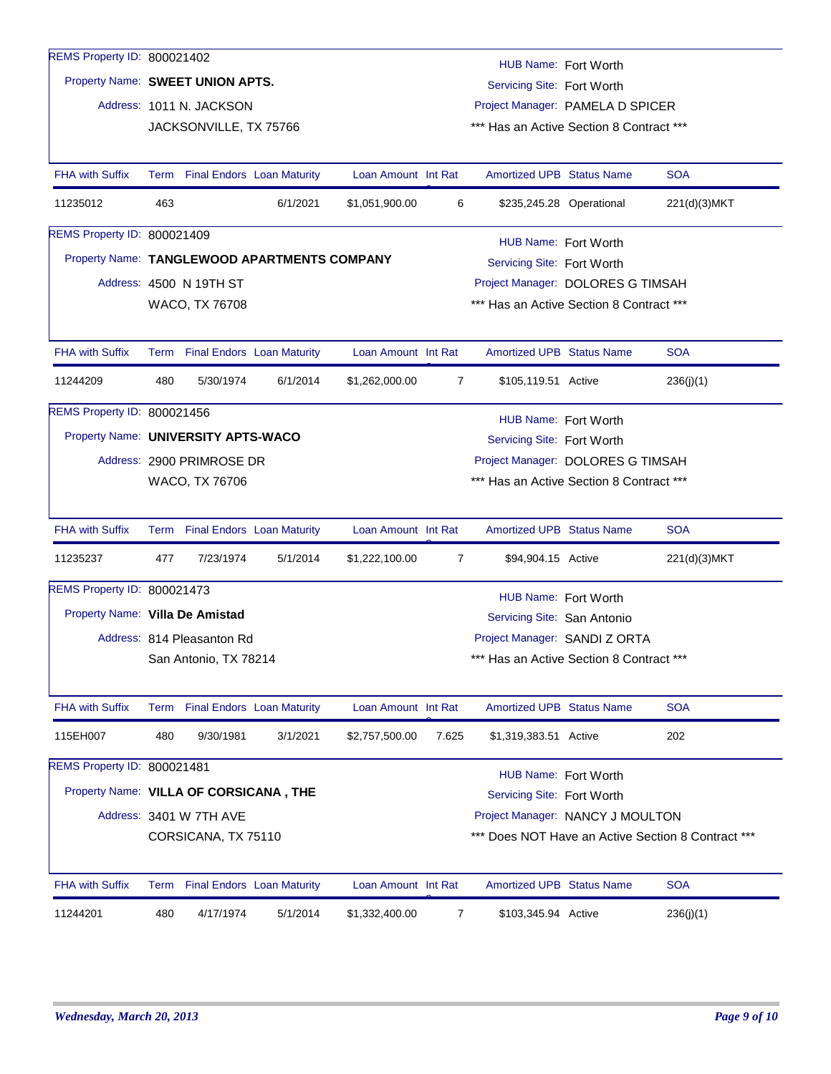| REMS Property ID: 800021402            |                                                                   |                                   |                                              |                     |       |                                          | HUB Name: Fort Worth     |                                                    |  |  |
|----------------------------------------|-------------------------------------------------------------------|-----------------------------------|----------------------------------------------|---------------------|-------|------------------------------------------|--------------------------|----------------------------------------------------|--|--|
| Property Name: SWEET UNION APTS.       |                                                                   |                                   |                                              |                     |       | Servicing Site: Fort Worth               |                          |                                                    |  |  |
|                                        |                                                                   | Address: 1011 N. JACKSON          |                                              |                     |       | Project Manager: PAMELA D SPICER         |                          |                                                    |  |  |
|                                        |                                                                   | JACKSONVILLE, TX 75766            |                                              |                     |       | *** Has an Active Section 8 Contract *** |                          |                                                    |  |  |
|                                        |                                                                   |                                   |                                              |                     |       |                                          |                          |                                                    |  |  |
| <b>FHA with Suffix</b>                 |                                                                   |                                   | Term Final Endors Loan Maturity              | Loan Amount Int Rat |       | <b>Amortized UPB Status Name</b>         |                          | <b>SOA</b>                                         |  |  |
| 11235012                               | 463                                                               |                                   | 6/1/2021                                     | \$1,051,900.00      | 6     |                                          | \$235,245.28 Operational | 221(d)(3)MKT                                       |  |  |
| REMS Property ID: 800021409            |                                                                   |                                   |                                              |                     |       |                                          | HUB Name: Fort Worth     |                                                    |  |  |
|                                        |                                                                   |                                   | Property Name: TANGLEWOOD APARTMENTS COMPANY |                     |       | Servicing Site: Fort Worth               |                          |                                                    |  |  |
|                                        |                                                                   | Address: 4500 N 19TH ST           |                                              |                     |       | Project Manager: DOLORES G TIMSAH        |                          |                                                    |  |  |
|                                        |                                                                   | WACO, TX 76708                    |                                              |                     |       | *** Has an Active Section 8 Contract *** |                          |                                                    |  |  |
|                                        |                                                                   |                                   |                                              |                     |       |                                          |                          |                                                    |  |  |
| <b>FHA with Suffix</b>                 |                                                                   | Term Final Endors Loan Maturity   |                                              | Loan Amount Int Rat |       | <b>Amortized UPB Status Name</b>         |                          | <b>SOA</b>                                         |  |  |
| 11244209                               | 480                                                               | 5/30/1974                         | 6/1/2014                                     | \$1,262,000.00      | 7     | \$105,119.51 Active                      |                          | 236(j)(1)                                          |  |  |
| REMS Property ID: 800021456            |                                                                   |                                   |                                              |                     |       |                                          | HUB Name: Fort Worth     |                                                    |  |  |
|                                        | Property Name: UNIVERSITY APTS-WACO<br>Servicing Site: Fort Worth |                                   |                                              |                     |       |                                          |                          |                                                    |  |  |
|                                        | Address: 2900 PRIMROSE DR<br>Project Manager: DOLORES G TIMSAH    |                                   |                                              |                     |       |                                          |                          |                                                    |  |  |
|                                        | *** Has an Active Section 8 Contract ***<br>WACO, TX 76706        |                                   |                                              |                     |       |                                          |                          |                                                    |  |  |
|                                        |                                                                   |                                   |                                              |                     |       |                                          |                          |                                                    |  |  |
| <b>FHA with Suffix</b>                 |                                                                   | Term Final Endors Loan Maturity   |                                              | Loan Amount Int Rat |       | <b>Amortized UPB Status Name</b>         |                          | <b>SOA</b>                                         |  |  |
| 11235237                               | 477                                                               | 7/23/1974                         | 5/1/2014                                     | \$1,222,100.00      | 7     | \$94,904.15 Active                       |                          | 221(d)(3) MKT                                      |  |  |
| REMS Property ID: 800021473            |                                                                   |                                   |                                              |                     |       |                                          | HUB Name: Fort Worth     |                                                    |  |  |
| Property Name: Villa De Amistad        |                                                                   |                                   |                                              |                     |       | Servicing Site: San Antonio              |                          |                                                    |  |  |
|                                        |                                                                   | Address: 814 Pleasanton Rd        |                                              |                     |       | Project Manager: SANDI Z ORTA            |                          |                                                    |  |  |
|                                        |                                                                   | San Antonio, TX 78214             |                                              |                     |       | *** Has an Active Section 8 Contract *** |                          |                                                    |  |  |
|                                        |                                                                   |                                   |                                              |                     |       |                                          |                          |                                                    |  |  |
| <b>FHA with Suffix</b>                 |                                                                   |                                   | Term Final Endors Loan Maturity              | Loan Amount Int Rat |       | <b>Amortized UPB Status Name</b>         |                          | <b>SOA</b>                                         |  |  |
| 115EH007                               | 480                                                               | 9/30/1981                         | 3/1/2021                                     | \$2,757,500.00      | 7.625 | \$1,319,383.51 Active                    |                          | 202                                                |  |  |
| REMS Property ID: 800021481            |                                                                   |                                   |                                              |                     |       |                                          | HUB Name: Fort Worth     |                                                    |  |  |
| Property Name: VILLA OF CORSICANA, THE |                                                                   |                                   |                                              |                     |       | Servicing Site: Fort Worth               |                          |                                                    |  |  |
|                                        |                                                                   | Address: 3401 W 7TH AVE           |                                              |                     |       | Project Manager: NANCY J MOULTON         |                          |                                                    |  |  |
|                                        |                                                                   | CORSICANA, TX 75110               |                                              |                     |       |                                          |                          | *** Does NOT Have an Active Section 8 Contract *** |  |  |
|                                        |                                                                   |                                   |                                              |                     |       |                                          |                          |                                                    |  |  |
| <b>FHA with Suffix</b>                 | Term                                                              | <b>Final Endors Loan Maturity</b> |                                              | Loan Amount Int Rat |       | <b>Amortized UPB Status Name</b>         |                          | <b>SOA</b>                                         |  |  |
| 11244201                               | 480                                                               | 4/17/1974                         | 5/1/2014                                     | \$1,332,400.00      | 7     | \$103,345.94 Active                      |                          | 236(j)(1)                                          |  |  |